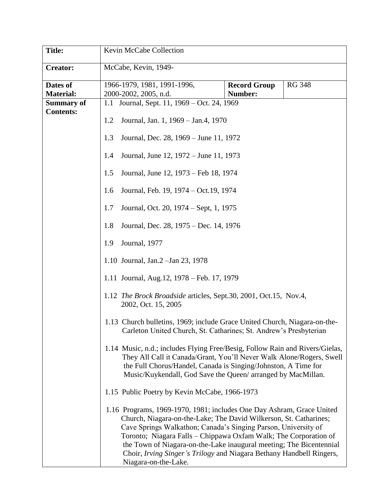| <b>Title:</b>     | Kevin McCabe Collection                                                                                                                                                                                                                                                                                                                                                                                                                                 |                     |               |  |
|-------------------|---------------------------------------------------------------------------------------------------------------------------------------------------------------------------------------------------------------------------------------------------------------------------------------------------------------------------------------------------------------------------------------------------------------------------------------------------------|---------------------|---------------|--|
| <b>Creator:</b>   | McCabe, Kevin, 1949-                                                                                                                                                                                                                                                                                                                                                                                                                                    |                     |               |  |
| Dates of          | 1966-1979, 1981, 1991-1996,                                                                                                                                                                                                                                                                                                                                                                                                                             | <b>Record Group</b> | <b>RG 348</b> |  |
| <b>Material:</b>  | 2000-2002, 2005, n.d.                                                                                                                                                                                                                                                                                                                                                                                                                                   | Number:             |               |  |
| <b>Summary of</b> | 1.1 Journal, Sept. 11, 1969 – Oct. 24, 1969                                                                                                                                                                                                                                                                                                                                                                                                             |                     |               |  |
| <b>Contents:</b>  | 1.2<br>Journal, Jan. 1, 1969 – Jan. 4, 1970                                                                                                                                                                                                                                                                                                                                                                                                             |                     |               |  |
|                   |                                                                                                                                                                                                                                                                                                                                                                                                                                                         |                     |               |  |
|                   | Journal, Dec. 28, 1969 – June 11, 1972<br>1.3                                                                                                                                                                                                                                                                                                                                                                                                           |                     |               |  |
|                   | Journal, June 12, 1972 – June 11, 1973<br>1.4                                                                                                                                                                                                                                                                                                                                                                                                           |                     |               |  |
|                   | Journal, June 12, 1973 – Feb 18, 1974<br>1.5                                                                                                                                                                                                                                                                                                                                                                                                            |                     |               |  |
|                   | Journal, Feb. 19, 1974 – Oct. 19, 1974<br>1.6                                                                                                                                                                                                                                                                                                                                                                                                           |                     |               |  |
|                   | 1.7<br>Journal, Oct. 20, 1974 – Sept, 1, 1975                                                                                                                                                                                                                                                                                                                                                                                                           |                     |               |  |
|                   | Journal, Dec. 28, 1975 – Dec. 14, 1976<br>1.8                                                                                                                                                                                                                                                                                                                                                                                                           |                     |               |  |
|                   | Journal, 1977<br>1.9                                                                                                                                                                                                                                                                                                                                                                                                                                    |                     |               |  |
|                   | 1.10 Journal, Jan.2 - Jan 23, 1978                                                                                                                                                                                                                                                                                                                                                                                                                      |                     |               |  |
|                   | 1.11 Journal, Aug. 12, 1978 – Feb. 17, 1979                                                                                                                                                                                                                                                                                                                                                                                                             |                     |               |  |
|                   | 1.12 The Brock Broadside articles, Sept.30, 2001, Oct.15, Nov.4,<br>2002, Oct. 15, 2005                                                                                                                                                                                                                                                                                                                                                                 |                     |               |  |
|                   | 1.13 Church bulletins, 1969; include Grace United Church, Niagara-on-the-<br>Carleton United Church, St. Catharines; St. Andrew's Presbyterian                                                                                                                                                                                                                                                                                                          |                     |               |  |
|                   | 1.14 Music, n.d.; includes Flying Free/Besig, Follow Rain and Rivers/Gielas,<br>They All Call it Canada/Grant, You'll Never Walk Alone/Rogers, Swell<br>the Full Chorus/Handel, Canada is Singing/Johnston, A Time for<br>Music/Kuykendall, God Save the Queen/ arranged by MacMillan.                                                                                                                                                                  |                     |               |  |
|                   | 1.15 Public Poetry by Kevin McCabe, 1966-1973                                                                                                                                                                                                                                                                                                                                                                                                           |                     |               |  |
|                   | 1.16 Programs, 1969-1970, 1981; includes One Day Ashram, Grace United<br>Church, Niagara-on-the-Lake; The David Wilkerson, St. Catharines;<br>Cave Springs Walkathon; Canada's Singing Parson, University of<br>Toronto; Niagara Falls – Chippawa Oxfam Walk; The Corporation of<br>the Town of Niagara-on-the-Lake inaugural meeting; The Bicentennial<br>Choir, Irving Singer's Trilogy and Niagara Bethany Handbell Ringers,<br>Niagara-on-the-Lake. |                     |               |  |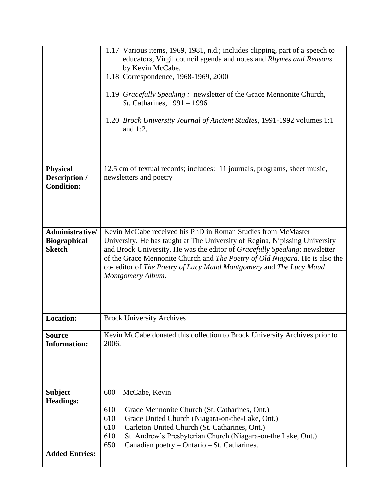|                                                         | 1.17 Various items, 1969, 1981, n.d.; includes clipping, part of a speech to<br>educators, Virgil council agenda and notes and Rhymes and Reasons<br>by Kevin McCabe.                                                                                                                                                                                                                               |  |  |
|---------------------------------------------------------|-----------------------------------------------------------------------------------------------------------------------------------------------------------------------------------------------------------------------------------------------------------------------------------------------------------------------------------------------------------------------------------------------------|--|--|
|                                                         | 1.18 Correspondence, 1968-1969, 2000<br>1.19 Gracefully Speaking: newsletter of the Grace Mennonite Church,<br>St. Catharines, 1991 - 1996                                                                                                                                                                                                                                                          |  |  |
|                                                         | 1.20 <i>Brock University Journal of Ancient Studies</i> , 1991-1992 volumes 1:1<br>and $1:2$ ,                                                                                                                                                                                                                                                                                                      |  |  |
| <b>Physical</b>                                         | 12.5 cm of textual records; includes: 11 journals, programs, sheet music,                                                                                                                                                                                                                                                                                                                           |  |  |
| Description /<br><b>Condition:</b>                      | newsletters and poetry                                                                                                                                                                                                                                                                                                                                                                              |  |  |
| Administrative/<br><b>Biographical</b><br><b>Sketch</b> | Kevin McCabe received his PhD in Roman Studies from McMaster<br>University. He has taught at The University of Regina, Nipissing University<br>and Brock University. He was the editor of Gracefully Speaking: newsletter<br>of the Grace Mennonite Church and The Poetry of Old Niagara. He is also the<br>co- editor of The Poetry of Lucy Maud Montgomery and The Lucy Maud<br>Montgomery Album. |  |  |
| <b>Location:</b>                                        | <b>Brock University Archives</b>                                                                                                                                                                                                                                                                                                                                                                    |  |  |
| <b>Source</b><br><b>Information:</b>                    | Kevin McCabe donated this collection to Brock University Archives prior to<br>2006.                                                                                                                                                                                                                                                                                                                 |  |  |
| <b>Subject</b><br><b>Headings:</b>                      | McCabe, Kevin<br>600                                                                                                                                                                                                                                                                                                                                                                                |  |  |
|                                                         | 610<br>Grace Mennonite Church (St. Catharines, Ont.)<br>610<br>Grace United Church (Niagara-on-the-Lake, Ont.)<br>Carleton United Church (St. Catharines, Ont.)<br>610<br>610<br>St. Andrew's Presbyterian Church (Niagara-on-the Lake, Ont.)<br>650<br>Canadian poetry – Ontario – St. Catharines.                                                                                                 |  |  |
| <b>Added Entries:</b>                                   |                                                                                                                                                                                                                                                                                                                                                                                                     |  |  |